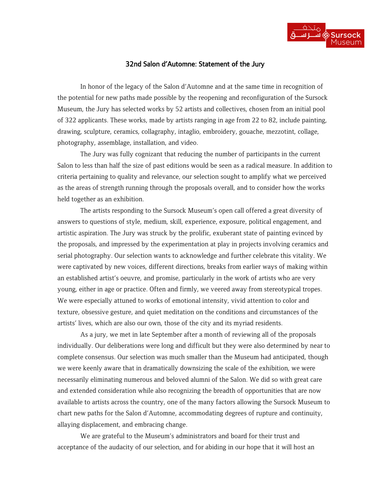

## 32nd Salon d'Automne: Statement of the Jury

In honor of the legacy of the Salon d'Automne and at the same time in recognition of the potential for new paths made possible by the reopening and reconfiguration of the Sursock Museum, the Jury has selected works by 52 artists and collectives, chosen from an initial pool of 322 applicants. These works, made by artists ranging in age from 22 to 82, include painting, drawing, sculpture, ceramics, collagraphy, intaglio, embroidery, gouache, mezzotint, collage, photography, assemblage, installation, and video.

The Jury was fully cognizant that reducing the number of participants in the current Salon to less than half the size of past editions would be seen as a radical measure. In addition to criteria pertaining to quality and relevance, our selection sought to amplify what we perceived as the areas of strength running through the proposals overall, and to consider how the works held together as an exhibition.

The artists responding to the Sursock Museum's open call offered a great diversity of answers to questions of style, medium, skill, experience, exposure, political engagement, and artistic aspiration. The Jury was struck by the prolific, exuberant state of painting evinced by the proposals, and impressed by the experimentation at play in projects involving ceramics and serial photography. Our selection wants to acknowledge and further celebrate this vitality. We were captivated by new voices, different directions, breaks from earlier ways of making within an established artist's oeuvre, and promise, particularly in the work of artists who are very young, either in age or practice. Often and firmly, we veered away from stereotypical tropes. We were especially attuned to works of emotional intensity, vivid attention to color and texture, obsessive gesture, and quiet meditation on the conditions and circumstances of the artists' lives, which are also our own, those of the city and its myriad residents.

As a jury, we met in late September after a month of reviewing all of the proposals individually. Our deliberations were long and difficult but they were also determined by near to complete consensus. Our selection was much smaller than the Museum had anticipated, though we were keenly aware that in dramatically downsizing the scale of the exhibition, we were necessarily eliminating numerous and beloved alumni of the Salon. We did so with great care and extended consideration while also recognizing the breadth of opportunities that are now available to artists across the country, one of the many factors allowing the Sursock Museum to chart new paths for the Salon d'Automne, accommodating degrees of rupture and continuity, allaying displacement, and embracing change.

We are grateful to the Museum's administrators and board for their trust and acceptance of the audacity of our selection, and for abiding in our hope that it will host an